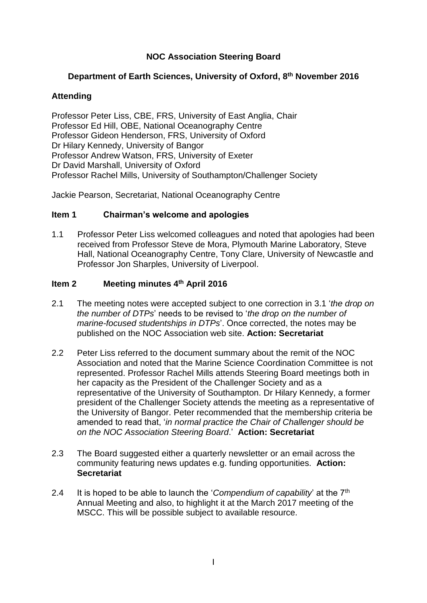# **NOC Association Steering Board**

## **Department of Earth Sciences, University of Oxford, 8 th November 2016**

## **Attending**

Professor Peter Liss, CBE, FRS, University of East Anglia, Chair Professor Ed Hill, OBE, National Oceanography Centre Professor Gideon Henderson, FRS, University of Oxford Dr Hilary Kennedy, University of Bangor Professor Andrew Watson, FRS, University of Exeter Dr David Marshall, University of Oxford Professor Rachel Mills, University of Southampton/Challenger Society

Jackie Pearson, Secretariat, National Oceanography Centre

### **Item 1 Chairman's welcome and apologies**

1.1 Professor Peter Liss welcomed colleagues and noted that apologies had been received from Professor Steve de Mora, Plymouth Marine Laboratory, Steve Hall, National Oceanography Centre, Tony Clare, University of Newcastle and Professor Jon Sharples, University of Liverpool.

### **Item 2 Meeting minutes 4th April 2016**

- 2.1 The meeting notes were accepted subject to one correction in 3.1 '*the drop on the number of DTPs*' needs to be revised to '*the drop on the number of marine-focused studentships in DTPs*'. Once corrected, the notes may be published on the NOC Association web site. **Action: Secretariat**
- 2.2 Peter Liss referred to the document summary about the remit of the NOC Association and noted that the Marine Science Coordination Committee is not represented. Professor Rachel Mills attends Steering Board meetings both in her capacity as the President of the Challenger Society and as a representative of the University of Southampton. Dr Hilary Kennedy, a former president of the Challenger Society attends the meeting as a representative of the University of Bangor. Peter recommended that the membership criteria be amended to read that, '*in normal practice the Chair of Challenger should be on the NOC Association Steering Board*.' **Action: Secretariat**
- 2.3 The Board suggested either a quarterly newsletter or an email across the community featuring news updates e.g. funding opportunities. **Action: Secretariat**
- 2.4 It is hoped to be able to launch the '*Compendium of capability*' at the 7th Annual Meeting and also, to highlight it at the March 2017 meeting of the MSCC. This will be possible subject to available resource.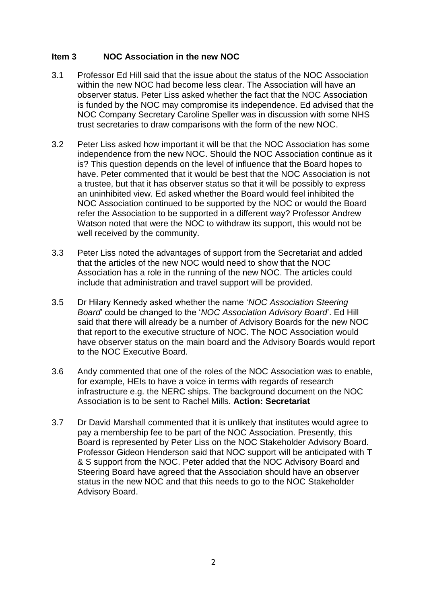## **Item 3 NOC Association in the new NOC**

- 3.1 Professor Ed Hill said that the issue about the status of the NOC Association within the new NOC had become less clear. The Association will have an observer status. Peter Liss asked whether the fact that the NOC Association is funded by the NOC may compromise its independence. Ed advised that the NOC Company Secretary Caroline Speller was in discussion with some NHS trust secretaries to draw comparisons with the form of the new NOC.
- 3.2 Peter Liss asked how important it will be that the NOC Association has some independence from the new NOC. Should the NOC Association continue as it is? This question depends on the level of influence that the Board hopes to have. Peter commented that it would be best that the NOC Association is not a trustee, but that it has observer status so that it will be possibly to express an uninhibited view. Ed asked whether the Board would feel inhibited the NOC Association continued to be supported by the NOC or would the Board refer the Association to be supported in a different way? Professor Andrew Watson noted that were the NOC to withdraw its support, this would not be well received by the community.
- 3.3 Peter Liss noted the advantages of support from the Secretariat and added that the articles of the new NOC would need to show that the NOC Association has a role in the running of the new NOC. The articles could include that administration and travel support will be provided.
- 3.5 Dr Hilary Kennedy asked whether the name '*NOC Association Steering Board*' could be changed to the '*NOC Association Advisory Board*'. Ed Hill said that there will already be a number of Advisory Boards for the new NOC that report to the executive structure of NOC. The NOC Association would have observer status on the main board and the Advisory Boards would report to the NOC Executive Board.
- 3.6 Andy commented that one of the roles of the NOC Association was to enable, for example, HEIs to have a voice in terms with regards of research infrastructure e.g. the NERC ships. The background document on the NOC Association is to be sent to Rachel Mills. **Action: Secretariat**
- 3.7 Dr David Marshall commented that it is unlikely that institutes would agree to pay a membership fee to be part of the NOC Association. Presently, this Board is represented by Peter Liss on the NOC Stakeholder Advisory Board. Professor Gideon Henderson said that NOC support will be anticipated with T & S support from the NOC. Peter added that the NOC Advisory Board and Steering Board have agreed that the Association should have an observer status in the new NOC and that this needs to go to the NOC Stakeholder Advisory Board.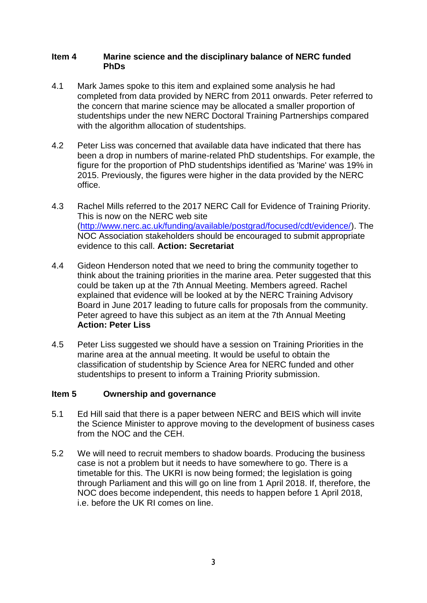#### **Item 4 Marine science and the disciplinary balance of NERC funded PhDs**

- 4.1 Mark James spoke to this item and explained some analysis he had completed from data provided by NERC from 2011 onwards. Peter referred to the concern that marine science may be allocated a smaller proportion of studentships under the new NERC Doctoral Training Partnerships compared with the algorithm allocation of studentships.
- 4.2 Peter Liss was concerned that available data have indicated that there has been a drop in numbers of marine-related PhD studentships. For example, the figure for the proportion of PhD studentships identified as 'Marine' was 19% in 2015. Previously, the figures were higher in the data provided by the NERC office.
- 4.3 Rachel Mills referred to the 2017 NERC Call for Evidence of Training Priority. This is now on the NERC web site [\(http://www.nerc.ac.uk/funding/available/postgrad/focused/cdt/evidence/\)](http://www.nerc.ac.uk/funding/available/postgrad/focused/cdt/evidence/). The NOC Association stakeholders should be encouraged to submit appropriate evidence to this call. **Action: Secretariat**
- 4.4 Gideon Henderson noted that we need to bring the community together to think about the training priorities in the marine area. Peter suggested that this could be taken up at the 7th Annual Meeting. Members agreed. Rachel explained that evidence will be looked at by the NERC Training Advisory Board in June 2017 leading to future calls for proposals from the community. Peter agreed to have this subject as an item at the 7th Annual Meeting **Action: Peter Liss**
- 4.5 Peter Liss suggested we should have a session on Training Priorities in the marine area at the annual meeting. It would be useful to obtain the classification of studentship by Science Area for NERC funded and other studentships to present to inform a Training Priority submission.

### **Item 5 Ownership and governance**

- 5.1 Ed Hill said that there is a paper between NERC and BEIS which will invite the Science Minister to approve moving to the development of business cases from the NOC and the CEH.
- 5.2 We will need to recruit members to shadow boards. Producing the business case is not a problem but it needs to have somewhere to go. There is a timetable for this. The UKRI is now being formed; the legislation is going through Parliament and this will go on line from 1 April 2018. If, therefore, the NOC does become independent, this needs to happen before 1 April 2018, i.e. before the UK RI comes on line.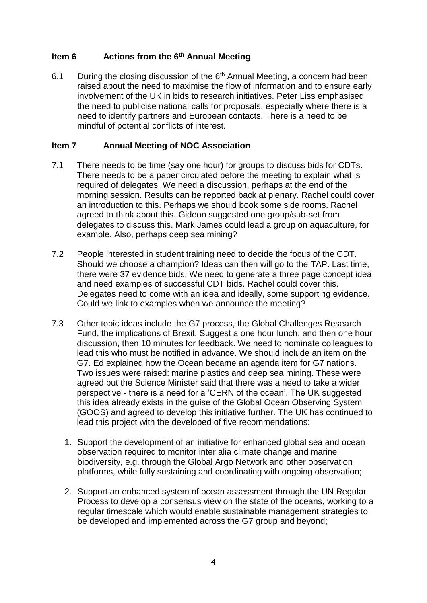# **Item 6 Actions from the 6th Annual Meeting**

6.1 During the closing discussion of the  $6<sup>th</sup>$  Annual Meeting, a concern had been raised about the need to maximise the flow of information and to ensure early involvement of the UK in bids to research initiatives. Peter Liss emphasised the need to publicise national calls for proposals, especially where there is a need to identify partners and European contacts. There is a need to be mindful of potential conflicts of interest.

## **Item 7 Annual Meeting of NOC Association**

- 7.1 There needs to be time (say one hour) for groups to discuss bids for CDTs. There needs to be a paper circulated before the meeting to explain what is required of delegates. We need a discussion, perhaps at the end of the morning session. Results can be reported back at plenary. Rachel could cover an introduction to this. Perhaps we should book some side rooms. Rachel agreed to think about this. Gideon suggested one group/sub-set from delegates to discuss this. Mark James could lead a group on aquaculture, for example. Also, perhaps deep sea mining?
- 7.2 People interested in student training need to decide the focus of the CDT. Should we choose a champion? Ideas can then will go to the TAP. Last time, there were 37 evidence bids. We need to generate a three page concept idea and need examples of successful CDT bids. Rachel could cover this. Delegates need to come with an idea and ideally, some supporting evidence. Could we link to examples when we announce the meeting?
- 7.3 Other topic ideas include the G7 process, the Global Challenges Research Fund, the implications of Brexit. Suggest a one hour lunch, and then one hour discussion, then 10 minutes for feedback. We need to nominate colleagues to lead this who must be notified in advance. We should include an item on the G7. Ed explained how the Ocean became an agenda item for G7 nations. Two issues were raised: marine plastics and deep sea mining. These were agreed but the Science Minister said that there was a need to take a wider perspective - there is a need for a 'CERN of the ocean'. The UK suggested this idea already exists in the guise of the Global Ocean Observing System (GOOS) and agreed to develop this initiative further. The UK has continued to lead this project with the developed of five recommendations:
	- 1. Support the development of an initiative for enhanced global sea and ocean observation required to monitor inter alia climate change and marine biodiversity, e.g. through the Global Argo Network and other observation platforms, while fully sustaining and coordinating with ongoing observation;
	- 2. Support an enhanced system of ocean assessment through the UN Regular Process to develop a consensus view on the state of the oceans, working to a regular timescale which would enable sustainable management strategies to be developed and implemented across the G7 group and beyond;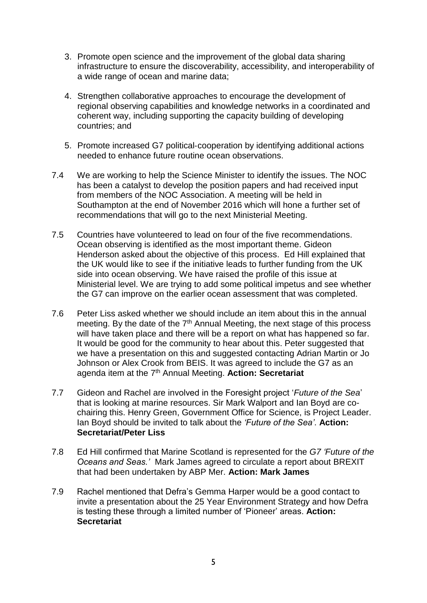- 3. Promote open science and the improvement of the global data sharing infrastructure to ensure the discoverability, accessibility, and interoperability of a wide range of ocean and marine data;
- 4. Strengthen collaborative approaches to encourage the development of regional observing capabilities and knowledge networks in a coordinated and coherent way, including supporting the capacity building of developing countries; and
- 5. Promote increased G7 political‐cooperation by identifying additional actions needed to enhance future routine ocean observations.
- 7.4 We are working to help the Science Minister to identify the issues. The NOC has been a catalyst to develop the position papers and had received input from members of the NOC Association. A meeting will be held in Southampton at the end of November 2016 which will hone a further set of recommendations that will go to the next Ministerial Meeting.
- 7.5 Countries have volunteered to lead on four of the five recommendations. Ocean observing is identified as the most important theme. Gideon Henderson asked about the objective of this process. Ed Hill explained that the UK would like to see if the initiative leads to further funding from the UK side into ocean observing. We have raised the profile of this issue at Ministerial level. We are trying to add some political impetus and see whether the G7 can improve on the earlier ocean assessment that was completed.
- 7.6 Peter Liss asked whether we should include an item about this in the annual meeting. By the date of the 7<sup>th</sup> Annual Meeting, the next stage of this process will have taken place and there will be a report on what has happened so far. It would be good for the community to hear about this. Peter suggested that we have a presentation on this and suggested contacting Adrian Martin or Jo Johnson or Alex Crook from BEIS. It was agreed to include the G7 as an agenda item at the 7th Annual Meeting. **Action: Secretariat**
- 7.7 Gideon and Rachel are involved in the Foresight project '*Future of the Sea*' that is looking at marine resources. Sir Mark Walport and Ian Boyd are cochairing this. Henry Green, Government Office for Science, is Project Leader. Ian Boyd should be invited to talk about the *'Future of the Sea'*. **Action: Secretariat/Peter Liss**
- 7.8 Ed Hill confirmed that Marine Scotland is represented for the *G7 'Future of the Oceans and Seas.'* Mark James agreed to circulate a report about BREXIT that had been undertaken by ABP Mer. **Action: Mark James**
- 7.9 Rachel mentioned that Defra's Gemma Harper would be a good contact to invite a presentation about the 25 Year Environment Strategy and how Defra is testing these through a limited number of 'Pioneer' areas. **Action: Secretariat**